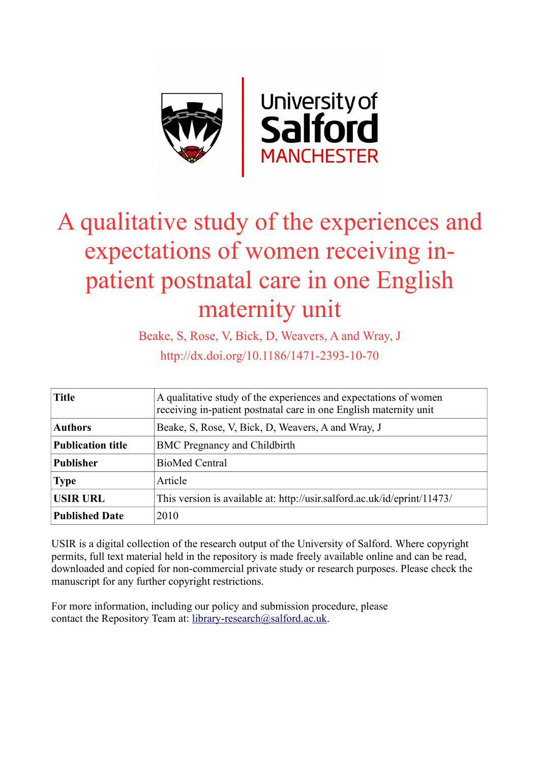

# A qualitative study of the experiences and expectations of women receiving inpatient postnatal care in one English maternity unit

Beake, S, Rose, V, Bick, D, Weavers, A and Wray, J http://dx.doi.org/10.1186/1471-2393-10-70

| <b>Title</b>             | A qualitative study of the experiences and expectations of women<br>receiving in-patient postnatal care in one English maternity unit |  |  |  |
|--------------------------|---------------------------------------------------------------------------------------------------------------------------------------|--|--|--|
| <b>Authors</b>           | Beake, S, Rose, V, Bick, D, Weavers, A and Wray, J                                                                                    |  |  |  |
| <b>Publication title</b> | <b>BMC</b> Pregnancy and Childbirth                                                                                                   |  |  |  |
| <b>Publisher</b>         | <b>BioMed Central</b>                                                                                                                 |  |  |  |
| <b>Type</b>              | Article                                                                                                                               |  |  |  |
| <b>USIR URL</b>          | This version is available at: http://usir.salford.ac.uk/id/eprint/11473/                                                              |  |  |  |
| <b>Published Date</b>    | 2010                                                                                                                                  |  |  |  |

USIR is a digital collection of the research output of the University of Salford. Where copyright permits, full text material held in the repository is made freely available online and can be read, downloaded and copied for non-commercial private study or research purposes. Please check the manuscript for any further copyright restrictions.

For more information, including our policy and submission procedure, please contact the Repository Team at: [library-research@salford.ac.uk.](mailto:library-research@salford.ac.uk)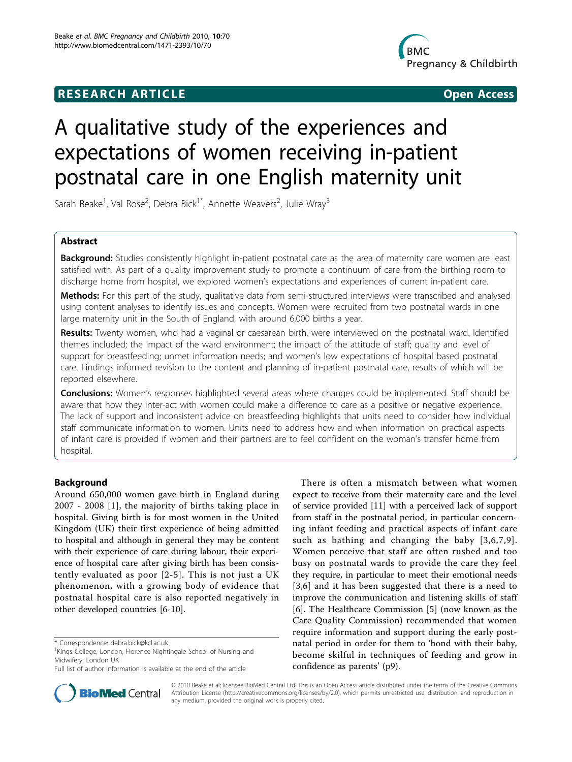### **RESEARCH ARTICLE CONSUMING ACCESS**



## A qualitative study of the experiences and expectations of women receiving in-patient postnatal care in one English maternity unit

Sarah Beake<sup>1</sup>, Val Rose<sup>2</sup>, Debra Bick<sup>1\*</sup>, Annette Weavers<sup>2</sup>, Julie Wray<sup>3</sup>

#### Abstract

**Background:** Studies consistently highlight in-patient postnatal care as the area of maternity care women are least satisfied with. As part of a quality improvement study to promote a continuum of care from the birthing room to discharge home from hospital, we explored women's expectations and experiences of current in-patient care.

Methods: For this part of the study, qualitative data from semi-structured interviews were transcribed and analysed using content analyses to identify issues and concepts. Women were recruited from two postnatal wards in one large maternity unit in the South of England, with around 6,000 births a year.

Results: Twenty women, who had a vaginal or caesarean birth, were interviewed on the postnatal ward. Identified themes included; the impact of the ward environment; the impact of the attitude of staff; quality and level of support for breastfeeding; unmet information needs; and women's low expectations of hospital based postnatal care. Findings informed revision to the content and planning of in-patient postnatal care, results of which will be reported elsewhere.

**Conclusions:** Women's responses highlighted several areas where changes could be implemented. Staff should be aware that how they inter-act with women could make a difference to care as a positive or negative experience. The lack of support and inconsistent advice on breastfeeding highlights that units need to consider how individual staff communicate information to women. Units need to address how and when information on practical aspects of infant care is provided if women and their partners are to feel confident on the woman's transfer home from hospital.

#### **Background**

Around 650,000 women gave birth in England during 2007 - 2008 [\[1\]](#page-9-0), the majority of births taking place in hospital. Giving birth is for most women in the United Kingdom (UK) their first experience of being admitted to hospital and although in general they may be content with their experience of care during labour, their experience of hospital care after giving birth has been consistently evaluated as poor [\[2-5\]](#page-9-0). This is not just a UK phenomenon, with a growing body of evidence that postnatal hospital care is also reported negatively in other developed countries [[6](#page-9-0)-[10\]](#page-9-0).

Full list of author information is available at the end of the article





© 2010 Beake et al; licensee BioMed Central Ltd. This is an Open Access article distributed under the terms of the Creative Commons Attribution License [\(http://creativecommons.org/licenses/by/2.0](http://creativecommons.org/licenses/by/2.0)), which permits unrestricted use, distribution, and reproduction in any medium, provided the original work is properly cited.

<sup>\*</sup> Correspondence: [debra.bick@kcl.ac.uk](mailto:debra.bick@kcl.ac.uk)

<sup>&</sup>lt;sup>1</sup>Kings College, London, Florence Nightingale School of Nursing and Midwifery, London UK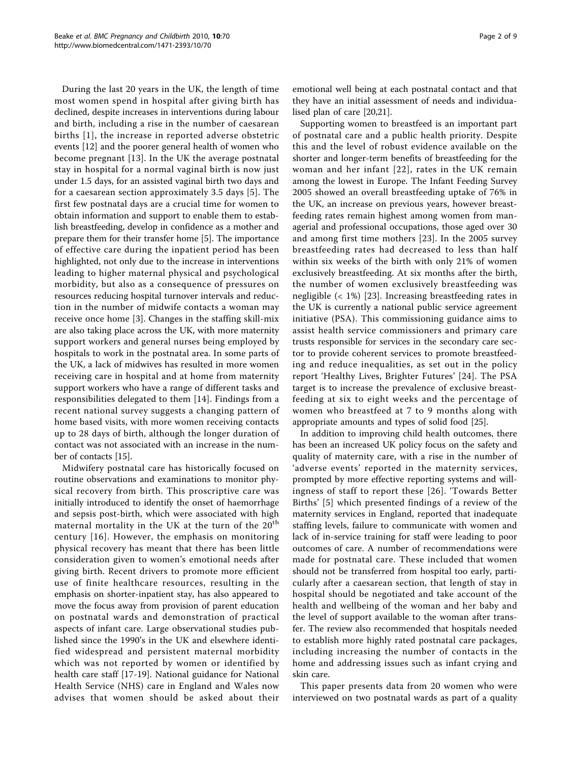During the last 20 years in the UK, the length of time most women spend in hospital after giving birth has declined, despite increases in interventions during labour and birth, including a rise in the number of caesarean births [[1](#page-9-0)], the increase in reported adverse obstetric events [[12\]](#page-9-0) and the poorer general health of women who become pregnant [[13\]](#page-9-0). In the UK the average postnatal stay in hospital for a normal vaginal birth is now just under 1.5 days, for an assisted vaginal birth two days and for a caesarean section approximately 3.5 days [\[5](#page-9-0)]. The first few postnatal days are a crucial time for women to obtain information and support to enable them to establish breastfeeding, develop in confidence as a mother and prepare them for their transfer home [[5](#page-9-0)]. The importance of effective care during the inpatient period has been highlighted, not only due to the increase in interventions leading to higher maternal physical and psychological morbidity, but also as a consequence of pressures on resources reducing hospital turnover intervals and reduction in the number of midwife contacts a woman may receive once home [\[3](#page-9-0)]. Changes in the staffing skill-mix are also taking place across the UK, with more maternity support workers and general nurses being employed by hospitals to work in the postnatal area. In some parts of the UK, a lack of midwives has resulted in more women receiving care in hospital and at home from maternity support workers who have a range of different tasks and responsibilities delegated to them [[14](#page-9-0)]. Findings from a recent national survey suggests a changing pattern of home based visits, with more women receiving contacts up to 28 days of birth, although the longer duration of contact was not associated with an increase in the number of contacts [[15](#page-9-0)].

Midwifery postnatal care has historically focused on routine observations and examinations to monitor physical recovery from birth. This proscriptive care was initially introduced to identify the onset of haemorrhage and sepsis post-birth, which were associated with high maternal mortality in the UK at the turn of the  $20<sup>th</sup>$ century [[16](#page-9-0)]. However, the emphasis on monitoring physical recovery has meant that there has been little consideration given to women's emotional needs after giving birth. Recent drivers to promote more efficient use of finite healthcare resources, resulting in the emphasis on shorter-inpatient stay, has also appeared to move the focus away from provision of parent education on postnatal wards and demonstration of practical aspects of infant care. Large observational studies published since the 1990's in the UK and elsewhere identified widespread and persistent maternal morbidity which was not reported by women or identified by health care staff [\[17](#page-9-0)-[19\]](#page-9-0). National guidance for National Health Service (NHS) care in England and Wales now advises that women should be asked about their

emotional well being at each postnatal contact and that they have an initial assessment of needs and individualised plan of care [\[20,21](#page-9-0)].

Supporting women to breastfeed is an important part of postnatal care and a public health priority. Despite this and the level of robust evidence available on the shorter and longer-term benefits of breastfeeding for the woman and her infant [[22\]](#page-9-0), rates in the UK remain among the lowest in Europe. The Infant Feeding Survey 2005 showed an overall breastfeeding uptake of 76% in the UK, an increase on previous years, however breastfeeding rates remain highest among women from managerial and professional occupations, those aged over 30 and among first time mothers [[23\]](#page-9-0). In the 2005 survey breastfeeding rates had decreased to less than half within six weeks of the birth with only 21% of women exclusively breastfeeding. At six months after the birth, the number of women exclusively breastfeeding was negligible (< 1%) [\[23](#page-9-0)]. Increasing breastfeeding rates in the UK is currently a national public service agreement initiative (PSA). This commissioning guidance aims to assist health service commissioners and primary care trusts responsible for services in the secondary care sector to provide coherent services to promote breastfeeding and reduce inequalities, as set out in the policy report 'Healthy Lives, Brighter Futures' [[24](#page-9-0)]. The PSA target is to increase the prevalence of exclusive breastfeeding at six to eight weeks and the percentage of women who breastfeed at 7 to 9 months along with appropriate amounts and types of solid food [[25](#page-9-0)].

In addition to improving child health outcomes, there has been an increased UK policy focus on the safety and quality of maternity care, with a rise in the number of 'adverse events' reported in the maternity services, prompted by more effective reporting systems and willingness of staff to report these [\[26](#page-9-0)]. 'Towards Better Births' [[5](#page-9-0)] which presented findings of a review of the maternity services in England, reported that inadequate staffing levels, failure to communicate with women and lack of in-service training for staff were leading to poor outcomes of care. A number of recommendations were made for postnatal care. These included that women should not be transferred from hospital too early, particularly after a caesarean section, that length of stay in hospital should be negotiated and take account of the health and wellbeing of the woman and her baby and the level of support available to the woman after transfer. The review also recommended that hospitals needed to establish more highly rated postnatal care packages, including increasing the number of contacts in the home and addressing issues such as infant crying and skin care.

This paper presents data from 20 women who were interviewed on two postnatal wards as part of a quality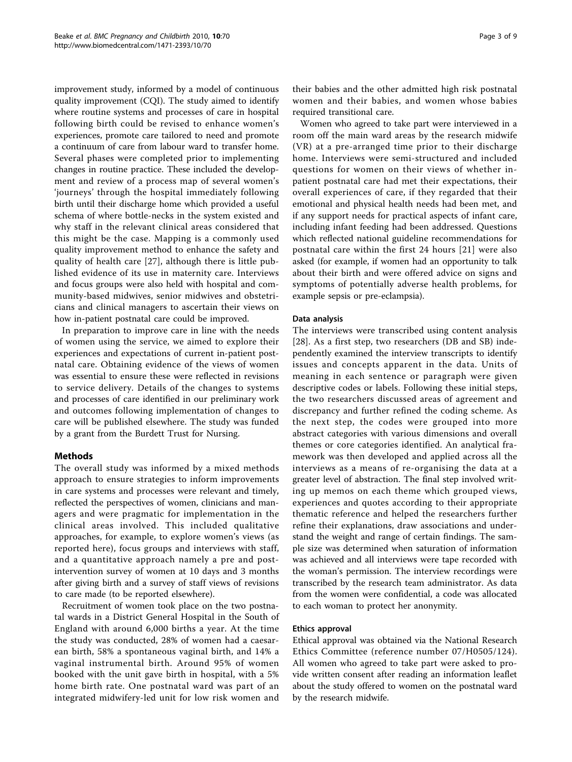improvement study, informed by a model of continuous quality improvement (CQI). The study aimed to identify where routine systems and processes of care in hospital following birth could be revised to enhance women's experiences, promote care tailored to need and promote a continuum of care from labour ward to transfer home. Several phases were completed prior to implementing changes in routine practice. These included the development and review of a process map of several women's 'journeys' through the hospital immediately following birth until their discharge home which provided a useful schema of where bottle-necks in the system existed and why staff in the relevant clinical areas considered that this might be the case. Mapping is a commonly used quality improvement method to enhance the safety and quality of health care [[27\]](#page-9-0), although there is little published evidence of its use in maternity care. Interviews and focus groups were also held with hospital and community-based midwives, senior midwives and obstetricians and clinical managers to ascertain their views on how in-patient postnatal care could be improved.

In preparation to improve care in line with the needs of women using the service, we aimed to explore their experiences and expectations of current in-patient postnatal care. Obtaining evidence of the views of women was essential to ensure these were reflected in revisions to service delivery. Details of the changes to systems and processes of care identified in our preliminary work and outcomes following implementation of changes to care will be published elsewhere. The study was funded by a grant from the Burdett Trust for Nursing.

#### Methods

The overall study was informed by a mixed methods approach to ensure strategies to inform improvements in care systems and processes were relevant and timely, reflected the perspectives of women, clinicians and managers and were pragmatic for implementation in the clinical areas involved. This included qualitative approaches, for example, to explore women's views (as reported here), focus groups and interviews with staff, and a quantitative approach namely a pre and postintervention survey of women at 10 days and 3 months after giving birth and a survey of staff views of revisions to care made (to be reported elsewhere).

Recruitment of women took place on the two postnatal wards in a District General Hospital in the South of England with around 6,000 births a year. At the time the study was conducted, 28% of women had a caesarean birth, 58% a spontaneous vaginal birth, and 14% a vaginal instrumental birth. Around 95% of women booked with the unit gave birth in hospital, with a 5% home birth rate. One postnatal ward was part of an integrated midwifery-led unit for low risk women and

their babies and the other admitted high risk postnatal women and their babies, and women whose babies required transitional care.

Women who agreed to take part were interviewed in a room off the main ward areas by the research midwife (VR) at a pre-arranged time prior to their discharge home. Interviews were semi-structured and included questions for women on their views of whether inpatient postnatal care had met their expectations, their overall experiences of care, if they regarded that their emotional and physical health needs had been met, and if any support needs for practical aspects of infant care, including infant feeding had been addressed. Questions which reflected national guideline recommendations for postnatal care within the first 24 hours [\[21\]](#page-9-0) were also asked (for example, if women had an opportunity to talk about their birth and were offered advice on signs and symptoms of potentially adverse health problems, for example sepsis or pre-eclampsia).

#### Data analysis

The interviews were transcribed using content analysis [[28\]](#page-9-0). As a first step, two researchers (DB and SB) independently examined the interview transcripts to identify issues and concepts apparent in the data. Units of meaning in each sentence or paragraph were given descriptive codes or labels. Following these initial steps, the two researchers discussed areas of agreement and discrepancy and further refined the coding scheme. As the next step, the codes were grouped into more abstract categories with various dimensions and overall themes or core categories identified. An analytical framework was then developed and applied across all the interviews as a means of re-organising the data at a greater level of abstraction. The final step involved writing up memos on each theme which grouped views, experiences and quotes according to their appropriate thematic reference and helped the researchers further refine their explanations, draw associations and understand the weight and range of certain findings. The sample size was determined when saturation of information was achieved and all interviews were tape recorded with the woman's permission. The interview recordings were transcribed by the research team administrator. As data from the women were confidential, a code was allocated to each woman to protect her anonymity.

#### Ethics approval

Ethical approval was obtained via the National Research Ethics Committee (reference number 07/H0505/124). All women who agreed to take part were asked to provide written consent after reading an information leaflet about the study offered to women on the postnatal ward by the research midwife.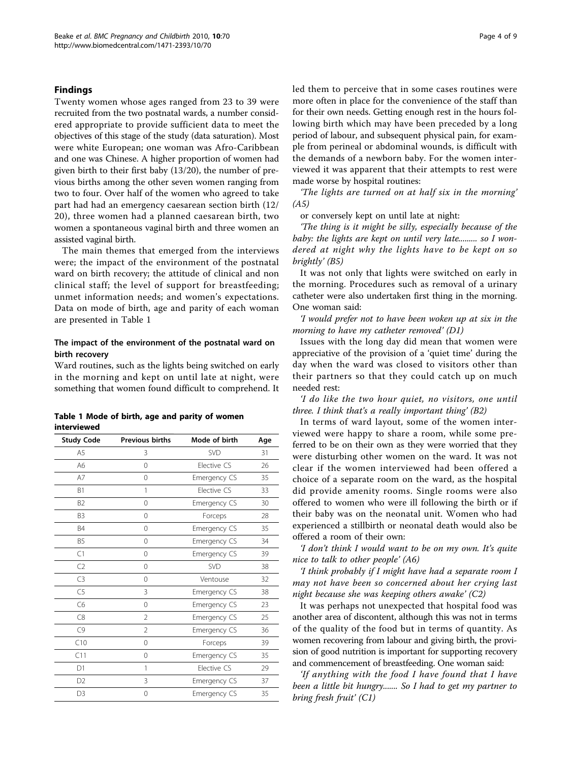#### Findings

Twenty women whose ages ranged from 23 to 39 were recruited from the two postnatal wards, a number considered appropriate to provide sufficient data to meet the objectives of this stage of the study (data saturation). Most were white European; one woman was Afro-Caribbean and one was Chinese. A higher proportion of women had given birth to their first baby (13/20), the number of previous births among the other seven women ranging from two to four. Over half of the women who agreed to take part had had an emergency caesarean section birth (12/ 20), three women had a planned caesarean birth, two women a spontaneous vaginal birth and three women an assisted vaginal birth.

The main themes that emerged from the interviews were; the impact of the environment of the postnatal ward on birth recovery; the attitude of clinical and non clinical staff; the level of support for breastfeeding; unmet information needs; and women's expectations. Data on mode of birth, age and parity of each woman are presented in Table 1

#### The impact of the environment of the postnatal ward on birth recovery

Ward routines, such as the lights being switched on early in the morning and kept on until late at night, were something that women found difficult to comprehend. It

|             |  | Table 1 Mode of birth, age and parity of women |  |  |
|-------------|--|------------------------------------------------|--|--|
| interviewed |  |                                                |  |  |

| <b>Study Code</b> | <b>Previous births</b> | Mode of birth | Age |
|-------------------|------------------------|---------------|-----|
| A5                | 3                      | <b>SVD</b>    | 31  |
| A6                | $\Omega$               | Elective CS   | 26  |
| A7                | 0                      | Emergency CS  | 35  |
| B <sub>1</sub>    | 1                      | Flective CS   | 33  |
| <b>B2</b>         | 0                      | Emergency CS  | 30  |
| B <sub>3</sub>    | $\Omega$               | Forceps       | 28  |
| <b>B4</b>         | $\Omega$               | Emergency CS  | 35  |
| <b>B5</b>         | 0                      | Emergency CS  | 34  |
| C1                | $\mathcal{O}$          | Emergency CS  | 39  |
| C <sub>2</sub>    | $\Omega$               | SVD           | 38  |
| C <sub>3</sub>    | $\Omega$               | Ventouse      | 32  |
| C <sub>5</sub>    | 3                      | Emergency CS  | 38  |
| C <sub>6</sub>    | 0                      | Emergency CS  | 23  |
| C8                | 2                      | Emergency CS  | 25  |
| C9                | $\mathfrak{D}$         | Emergency CS  | 36  |
| C10               | 0                      | Forceps       | 39  |
| C11               | $\Omega$               | Emergency CS  | 35  |
| D1                | 1                      | Elective CS   | 29  |
| D <sub>2</sub>    | 3                      | Emergency CS  | 37  |
| D <sub>3</sub>    | $\Omega$               | Emergency CS  | 35  |

led them to perceive that in some cases routines were more often in place for the convenience of the staff than for their own needs. Getting enough rest in the hours following birth which may have been preceded by a long period of labour, and subsequent physical pain, for example from perineal or abdominal wounds, is difficult with the demands of a newborn baby. For the women interviewed it was apparent that their attempts to rest were made worse by hospital routines:

'The lights are turned on at half six in the morning' (A5)

or conversely kept on until late at night:

'The thing is it might be silly, especially because of the baby: the lights are kept on until very late......... so I wondered at night why the lights have to be kept on so brightly' (B5)

It was not only that lights were switched on early in the morning. Procedures such as removal of a urinary catheter were also undertaken first thing in the morning. One woman said:

'I would prefer not to have been woken up at six in the morning to have my catheter removed' (D1)

Issues with the long day did mean that women were appreciative of the provision of a 'quiet time' during the day when the ward was closed to visitors other than their partners so that they could catch up on much needed rest:

'I do like the two hour quiet, no visitors, one until three. I think that's a really important thing'  $(B2)$ 

In terms of ward layout, some of the women interviewed were happy to share a room, while some preferred to be on their own as they were worried that they were disturbing other women on the ward. It was not clear if the women interviewed had been offered a choice of a separate room on the ward, as the hospital did provide amenity rooms. Single rooms were also offered to women who were ill following the birth or if their baby was on the neonatal unit. Women who had experienced a stillbirth or neonatal death would also be offered a room of their own:

'I don't think I would want to be on my own. It's quite nice to talk to other people' (A6)

'I think probably if I might have had a separate room I may not have been so concerned about her crying last night because she was keeping others awake' (C2)

It was perhaps not unexpected that hospital food was another area of discontent, although this was not in terms of the quality of the food but in terms of quantity. As women recovering from labour and giving birth, the provision of good nutrition is important for supporting recovery and commencement of breastfeeding. One woman said:

'If anything with the food I have found that I have been a little bit hungry....... So I had to get my partner to bring fresh fruit' (C1)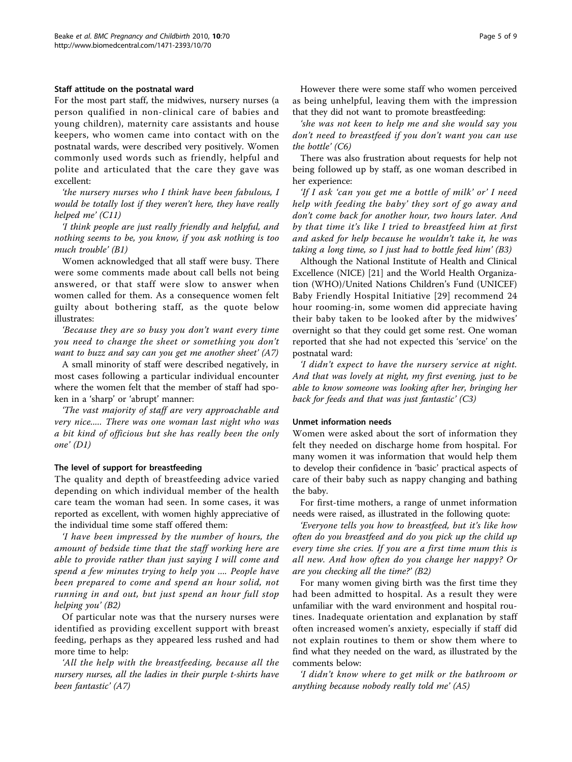#### Staff attitude on the postnatal ward

For the most part staff, the midwives, nursery nurses (a person qualified in non-clinical care of babies and young children), maternity care assistants and house keepers, who women came into contact with on the postnatal wards, were described very positively. Women commonly used words such as friendly, helpful and polite and articulated that the care they gave was excellent:

'the nursery nurses who I think have been fabulous, I would be totally lost if they weren't here, they have really helped me' (C11)

'I think people are just really friendly and helpful, and nothing seems to be, you know, if you ask nothing is too much trouble' (B1)

Women acknowledged that all staff were busy. There were some comments made about call bells not being answered, or that staff were slow to answer when women called for them. As a consequence women felt guilty about bothering staff, as the quote below illustrates:

'Because they are so busy you don't want every time you need to change the sheet or something you don't want to buzz and say can you get me another sheet' (A7)

A small minority of staff were described negatively, in most cases following a particular individual encounter where the women felt that the member of staff had spoken in a 'sharp' or 'abrupt' manner:

'The vast majority of staff are very approachable and very nice..... There was one woman last night who was a bit kind of officious but she has really been the only one' (D1)

#### The level of support for breastfeeding

The quality and depth of breastfeeding advice varied depending on which individual member of the health care team the woman had seen. In some cases, it was reported as excellent, with women highly appreciative of the individual time some staff offered them:

'I have been impressed by the number of hours, the amount of bedside time that the staff working here are able to provide rather than just saying I will come and spend a few minutes trying to help you .... People have been prepared to come and spend an hour solid, not running in and out, but just spend an hour full stop helping you' (B2)

Of particular note was that the nursery nurses were identified as providing excellent support with breast feeding, perhaps as they appeared less rushed and had more time to help:

'All the help with the breastfeeding, because all the nursery nurses, all the ladies in their purple t-shirts have been fantastic' (A7)

However there were some staff who women perceived as being unhelpful, leaving them with the impression that they did not want to promote breastfeeding:

'she was not keen to help me and she would say you don't need to breastfeed if you don't want you can use the bottle' (C6)

There was also frustration about requests for help not being followed up by staff, as one woman described in her experience:

'If I ask 'can you get me a bottle of milk' or' I need help with feeding the baby' they sort of go away and don't come back for another hour, two hours later. And by that time it's like I tried to breastfeed him at first and asked for help because he wouldn't take it, he was taking a long time, so I just had to bottle feed him' (B3)

Although the National Institute of Health and Clinical Excellence (NICE) [[21](#page-9-0)] and the World Health Organization (WHO)/United Nations Children's Fund (UNICEF) Baby Friendly Hospital Initiative [[29\]](#page-9-0) recommend 24 hour rooming-in, some women did appreciate having their baby taken to be looked after by the midwives' overnight so that they could get some rest. One woman reported that she had not expected this 'service' on the postnatal ward:

'I didn't expect to have the nursery service at night. And that was lovely at night, my first evening, just to be able to know someone was looking after her, bringing her back for feeds and that was just fantastic' (C3)

#### Unmet information needs

Women were asked about the sort of information they felt they needed on discharge home from hospital. For many women it was information that would help them to develop their confidence in 'basic' practical aspects of care of their baby such as nappy changing and bathing the baby.

For first-time mothers, a range of unmet information needs were raised, as illustrated in the following quote:

'Everyone tells you how to breastfeed, but it's like how often do you breastfeed and do you pick up the child up every time she cries. If you are a first time mum this is all new. And how often do you change her nappy? Or are you checking all the time?' (B2)

For many women giving birth was the first time they had been admitted to hospital. As a result they were unfamiliar with the ward environment and hospital routines. Inadequate orientation and explanation by staff often increased women's anxiety, especially if staff did not explain routines to them or show them where to find what they needed on the ward, as illustrated by the comments below:

'I didn't know where to get milk or the bathroom or anything because nobody really told me' (A5)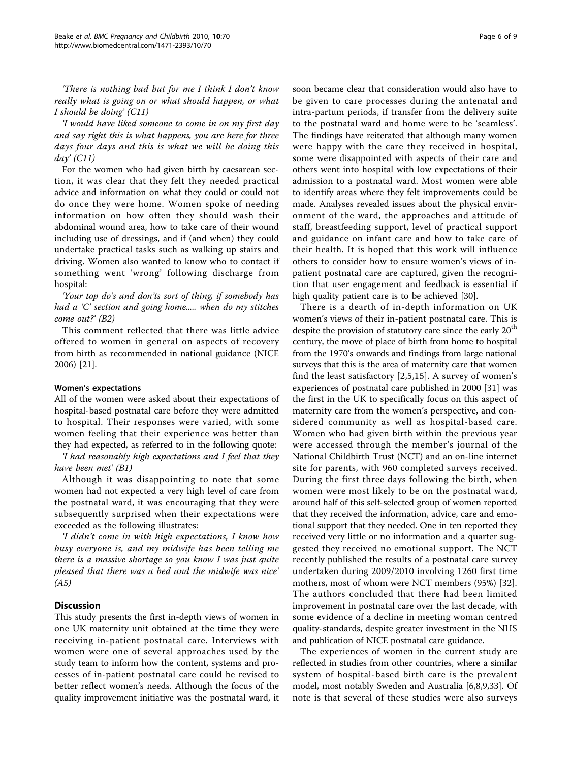'There is nothing bad but for me I think I don't know really what is going on or what should happen, or what I should be doing' (C11)

'I would have liked someone to come in on my first day and say right this is what happens, you are here for three days four days and this is what we will be doing this  $day' (C11)$ 

For the women who had given birth by caesarean section, it was clear that they felt they needed practical advice and information on what they could or could not do once they were home. Women spoke of needing information on how often they should wash their abdominal wound area, how to take care of their wound including use of dressings, and if (and when) they could undertake practical tasks such as walking up stairs and driving. Women also wanted to know who to contact if something went 'wrong' following discharge from hospital:

'Your top do's and don'ts sort of thing, if somebody has had a 'C' section and going home..... when do my stitches come out?' (B2)

This comment reflected that there was little advice offered to women in general on aspects of recovery from birth as recommended in national guidance (NICE 2006) [[21\]](#page-9-0).

#### Women's expectations

All of the women were asked about their expectations of hospital-based postnatal care before they were admitted to hospital. Their responses were varied, with some women feeling that their experience was better than they had expected, as referred to in the following quote:

'I had reasonably high expectations and I feel that they have been met' (B1)

Although it was disappointing to note that some women had not expected a very high level of care from the postnatal ward, it was encouraging that they were subsequently surprised when their expectations were exceeded as the following illustrates:

'I didn't come in with high expectations, I know how busy everyone is, and my midwife has been telling me there is a massive shortage so you know I was just quite pleased that there was a bed and the midwife was nice' (A5)

#### Discussion

This study presents the first in-depth views of women in one UK maternity unit obtained at the time they were receiving in-patient postnatal care. Interviews with women were one of several approaches used by the study team to inform how the content, systems and processes of in-patient postnatal care could be revised to better reflect women's needs. Although the focus of the quality improvement initiative was the postnatal ward, it soon became clear that consideration would also have to be given to care processes during the antenatal and intra-partum periods, if transfer from the delivery suite to the postnatal ward and home were to be 'seamless'. The findings have reiterated that although many women were happy with the care they received in hospital, some were disappointed with aspects of their care and others went into hospital with low expectations of their admission to a postnatal ward. Most women were able to identify areas where they felt improvements could be made. Analyses revealed issues about the physical environment of the ward, the approaches and attitude of staff, breastfeeding support, level of practical support and guidance on infant care and how to take care of their health. It is hoped that this work will influence others to consider how to ensure women's views of inpatient postnatal care are captured, given the recognition that user engagement and feedback is essential if high quality patient care is to be achieved [\[30\]](#page-9-0).

There is a dearth of in-depth information on UK women's views of their in-patient postnatal care. This is despite the provision of statutory care since the early  $20<sup>th</sup>$ century, the move of place of birth from home to hospital from the 1970's onwards and findings from large national surveys that this is the area of maternity care that women find the least satisfactory [[2,5](#page-9-0),[15\]](#page-9-0). A survey of women's experiences of postnatal care published in 2000 [\[31](#page-9-0)] was the first in the UK to specifically focus on this aspect of maternity care from the women's perspective, and considered community as well as hospital-based care. Women who had given birth within the previous year were accessed through the member's journal of the National Childbirth Trust (NCT) and an on-line internet site for parents, with 960 completed surveys received. During the first three days following the birth, when women were most likely to be on the postnatal ward, around half of this self-selected group of women reported that they received the information, advice, care and emotional support that they needed. One in ten reported they received very little or no information and a quarter suggested they received no emotional support. The NCT recently published the results of a postnatal care survey undertaken during 2009/2010 involving 1260 first time mothers, most of whom were NCT members (95%) [\[32](#page-9-0)]. The authors concluded that there had been limited improvement in postnatal care over the last decade, with some evidence of a decline in meeting woman centred quality-standards, despite greater investment in the NHS and publication of NICE postnatal care guidance.

The experiences of women in the current study are reflected in studies from other countries, where a similar system of hospital-based birth care is the prevalent model, most notably Sweden and Australia [[6](#page-9-0),[8](#page-9-0),[9,33](#page-9-0)]. Of note is that several of these studies were also surveys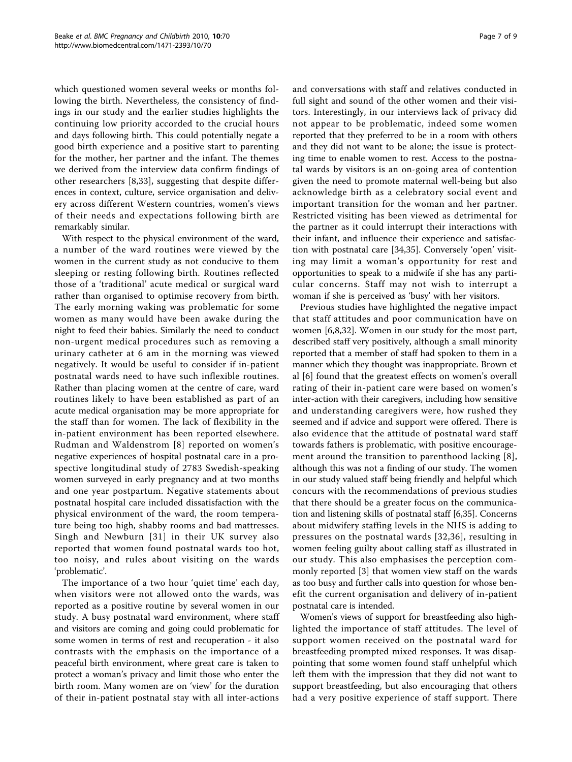which questioned women several weeks or months following the birth. Nevertheless, the consistency of findings in our study and the earlier studies highlights the continuing low priority accorded to the crucial hours and days following birth. This could potentially negate a good birth experience and a positive start to parenting for the mother, her partner and the infant. The themes we derived from the interview data confirm findings of other researchers [[8,33](#page-9-0)], suggesting that despite differences in context, culture, service organisation and delivery across different Western countries, women's views of their needs and expectations following birth are remarkably similar.

With respect to the physical environment of the ward, a number of the ward routines were viewed by the women in the current study as not conducive to them sleeping or resting following birth. Routines reflected those of a 'traditional' acute medical or surgical ward rather than organised to optimise recovery from birth. The early morning waking was problematic for some women as many would have been awake during the night to feed their babies. Similarly the need to conduct non-urgent medical procedures such as removing a urinary catheter at 6 am in the morning was viewed negatively. It would be useful to consider if in-patient postnatal wards need to have such inflexible routines. Rather than placing women at the centre of care, ward routines likely to have been established as part of an acute medical organisation may be more appropriate for the staff than for women. The lack of flexibility in the in-patient environment has been reported elsewhere. Rudman and Waldenstrom [[8](#page-9-0)] reported on women's negative experiences of hospital postnatal care in a prospective longitudinal study of 2783 Swedish-speaking women surveyed in early pregnancy and at two months and one year postpartum. Negative statements about postnatal hospital care included dissatisfaction with the physical environment of the ward, the room temperature being too high, shabby rooms and bad mattresses. Singh and Newburn [[31\]](#page-9-0) in their UK survey also reported that women found postnatal wards too hot, too noisy, and rules about visiting on the wards 'problematic'.

The importance of a two hour 'quiet time' each day, when visitors were not allowed onto the wards, was reported as a positive routine by several women in our study. A busy postnatal ward environment, where staff and visitors are coming and going could problematic for some women in terms of rest and recuperation - it also contrasts with the emphasis on the importance of a peaceful birth environment, where great care is taken to protect a woman's privacy and limit those who enter the birth room. Many women are on 'view' for the duration of their in-patient postnatal stay with all inter-actions and conversations with staff and relatives conducted in full sight and sound of the other women and their visitors. Interestingly, in our interviews lack of privacy did not appear to be problematic, indeed some women reported that they preferred to be in a room with others and they did not want to be alone; the issue is protecting time to enable women to rest. Access to the postnatal wards by visitors is an on-going area of contention given the need to promote maternal well-being but also acknowledge birth as a celebratory social event and important transition for the woman and her partner. Restricted visiting has been viewed as detrimental for the partner as it could interrupt their interactions with their infant, and influence their experience and satisfaction with postnatal care [[34,35\]](#page-9-0). Conversely 'open' visiting may limit a woman's opportunity for rest and opportunities to speak to a midwife if she has any particular concerns. Staff may not wish to interrupt a woman if she is perceived as 'busy' with her visitors.

Previous studies have highlighted the negative impact that staff attitudes and poor communication have on women [\[6](#page-9-0),[8,32](#page-9-0)]. Women in our study for the most part, described staff very positively, although a small minority reported that a member of staff had spoken to them in a manner which they thought was inappropriate. Brown et al [[6](#page-9-0)] found that the greatest effects on women's overall rating of their in-patient care were based on women's inter-action with their caregivers, including how sensitive and understanding caregivers were, how rushed they seemed and if advice and support were offered. There is also evidence that the attitude of postnatal ward staff towards fathers is problematic, with positive encouragement around the transition to parenthood lacking [[8\]](#page-9-0), although this was not a finding of our study. The women in our study valued staff being friendly and helpful which concurs with the recommendations of previous studies that there should be a greater focus on the communication and listening skills of postnatal staff [\[6,35\]](#page-9-0). Concerns about midwifery staffing levels in the NHS is adding to pressures on the postnatal wards [[32](#page-9-0),[36](#page-9-0)], resulting in women feeling guilty about calling staff as illustrated in our study. This also emphasises the perception commonly reported [[3\]](#page-9-0) that women view staff on the wards as too busy and further calls into question for whose benefit the current organisation and delivery of in-patient postnatal care is intended.

Women's views of support for breastfeeding also highlighted the importance of staff attitudes. The level of support women received on the postnatal ward for breastfeeding prompted mixed responses. It was disappointing that some women found staff unhelpful which left them with the impression that they did not want to support breastfeeding, but also encouraging that others had a very positive experience of staff support. There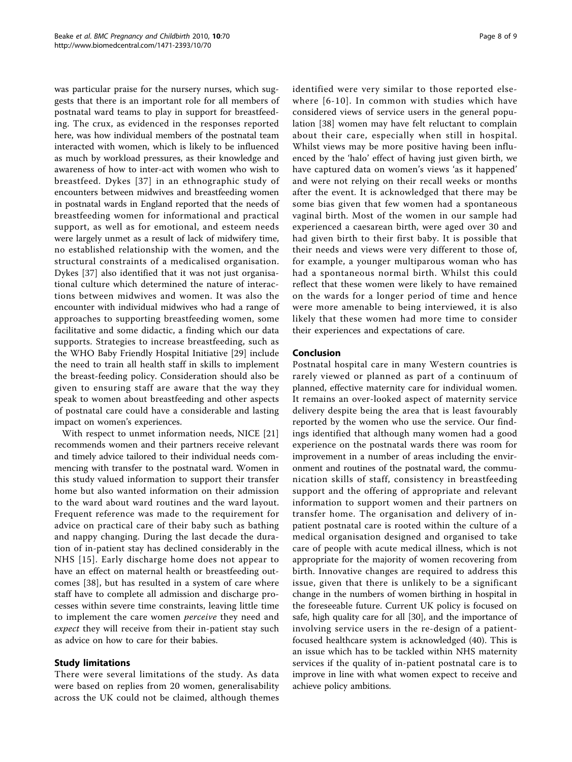was particular praise for the nursery nurses, which suggests that there is an important role for all members of postnatal ward teams to play in support for breastfeeding. The crux, as evidenced in the responses reported here, was how individual members of the postnatal team interacted with women, which is likely to be influenced as much by workload pressures, as their knowledge and awareness of how to inter-act with women who wish to breastfeed. Dykes [[37\]](#page-9-0) in an ethnographic study of encounters between midwives and breastfeeding women in postnatal wards in England reported that the needs of breastfeeding women for informational and practical support, as well as for emotional, and esteem needs were largely unmet as a result of lack of midwifery time, no established relationship with the women, and the structural constraints of a medicalised organisation. Dykes [[37\]](#page-9-0) also identified that it was not just organisational culture which determined the nature of interactions between midwives and women. It was also the encounter with individual midwives who had a range of approaches to supporting breastfeeding women, some facilitative and some didactic, a finding which our data supports. Strategies to increase breastfeeding, such as the WHO Baby Friendly Hospital Initiative [[29\]](#page-9-0) include the need to train all health staff in skills to implement the breast-feeding policy. Consideration should also be given to ensuring staff are aware that the way they speak to women about breastfeeding and other aspects of postnatal care could have a considerable and lasting impact on women's experiences.

With respect to unmet information needs, NICE [\[21](#page-9-0)] recommends women and their partners receive relevant and timely advice tailored to their individual needs commencing with transfer to the postnatal ward. Women in this study valued information to support their transfer home but also wanted information on their admission to the ward about ward routines and the ward layout. Frequent reference was made to the requirement for advice on practical care of their baby such as bathing and nappy changing. During the last decade the duration of in-patient stay has declined considerably in the NHS [[15\]](#page-9-0). Early discharge home does not appear to have an effect on maternal health or breastfeeding outcomes [[38](#page-9-0)], but has resulted in a system of care where staff have to complete all admission and discharge processes within severe time constraints, leaving little time to implement the care women *perceive* they need and expect they will receive from their in-patient stay such as advice on how to care for their babies.

#### Study limitations

There were several limitations of the study. As data were based on replies from 20 women, generalisability across the UK could not be claimed, although themes identified were very similar to those reported elsewhere [[6](#page-9-0)-[10](#page-9-0)]. In common with studies which have considered views of service users in the general population [[38\]](#page-9-0) women may have felt reluctant to complain about their care, especially when still in hospital. Whilst views may be more positive having been influenced by the 'halo' effect of having just given birth, we have captured data on women's views 'as it happened' and were not relying on their recall weeks or months after the event. It is acknowledged that there may be some bias given that few women had a spontaneous vaginal birth. Most of the women in our sample had experienced a caesarean birth, were aged over 30 and had given birth to their first baby. It is possible that their needs and views were very different to those of, for example, a younger multiparous woman who has had a spontaneous normal birth. Whilst this could reflect that these women were likely to have remained on the wards for a longer period of time and hence were more amenable to being interviewed, it is also likely that these women had more time to consider their experiences and expectations of care.

#### Conclusion

Postnatal hospital care in many Western countries is rarely viewed or planned as part of a continuum of planned, effective maternity care for individual women. It remains an over-looked aspect of maternity service delivery despite being the area that is least favourably reported by the women who use the service. Our findings identified that although many women had a good experience on the postnatal wards there was room for improvement in a number of areas including the environment and routines of the postnatal ward, the communication skills of staff, consistency in breastfeeding support and the offering of appropriate and relevant information to support women and their partners on transfer home. The organisation and delivery of inpatient postnatal care is rooted within the culture of a medical organisation designed and organised to take care of people with acute medical illness, which is not appropriate for the majority of women recovering from birth. Innovative changes are required to address this issue, given that there is unlikely to be a significant change in the numbers of women birthing in hospital in the foreseeable future. Current UK policy is focused on safe, high quality care for all [\[30](#page-9-0)], and the importance of involving service users in the re-design of a patientfocused healthcare system is acknowledged (40). This is an issue which has to be tackled within NHS maternity services if the quality of in-patient postnatal care is to improve in line with what women expect to receive and achieve policy ambitions.